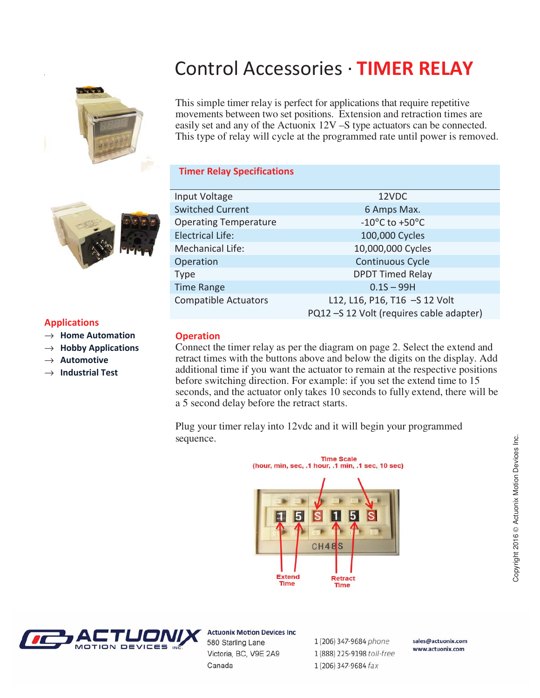# **Control Accessories · TIMER RELAY**



This simple timer relay is perfect for applications that require repetitive movements between two set positions. Extension and retraction times are easily set and any of the Actuonix 12V –S type actuators can be connected. This type of relay will cycle at the programmed rate until power is removed.

## **Timer Relay Specifications**



## **Applications**

- → Home Automation
- $\rightarrow$  **Hobby Applications**
- → Automotive
- **Industrial Test**

| Input Voltage                | 12VDC                                   |
|------------------------------|-----------------------------------------|
| <b>Switched Current</b>      | 6 Amps Max.                             |
| <b>Operating Temperature</b> | -10 $^{\circ}$ C to +50 $^{\circ}$ C    |
| <b>Electrical Life:</b>      | 100,000 Cycles                          |
| <b>Mechanical Life:</b>      | 10,000,000 Cycles                       |
| Operation                    | Continuous Cycle                        |
| Type                         | <b>DPDT Timed Relay</b>                 |
| <b>Time Range</b>            | $0.1S - 99H$                            |
| <b>Compatible Actuators</b>  | L12, L16, P16, T16 -S 12 Volt           |
|                              | PQ12-S 12 Volt (requires cable adapter) |

## **C**peration

Connect the timer relay as per the diagram on page 2. Select the extend and retract times with the buttons above and below the digits on the display. Add additional time if you want the actuator to remain at the respective positions before switching direction. For example: if you set the extend time to 15 seconds, and the actuator only takes 10 seconds to fully extend, there will be a 5 second delay before the retract starts.

Plug your timer relay into 12vdc and it will begin your programmed sequence.





**Actuonix Motion Devices Inc** 580 Starling Lane Victoria, BC, V9E 2A9 Canada

1 (206) 347-9684 phone 1 (888) 225-9198 toll-free 1 (206) 347-9684 fax

sales@actuonix.com www.actuonix.com